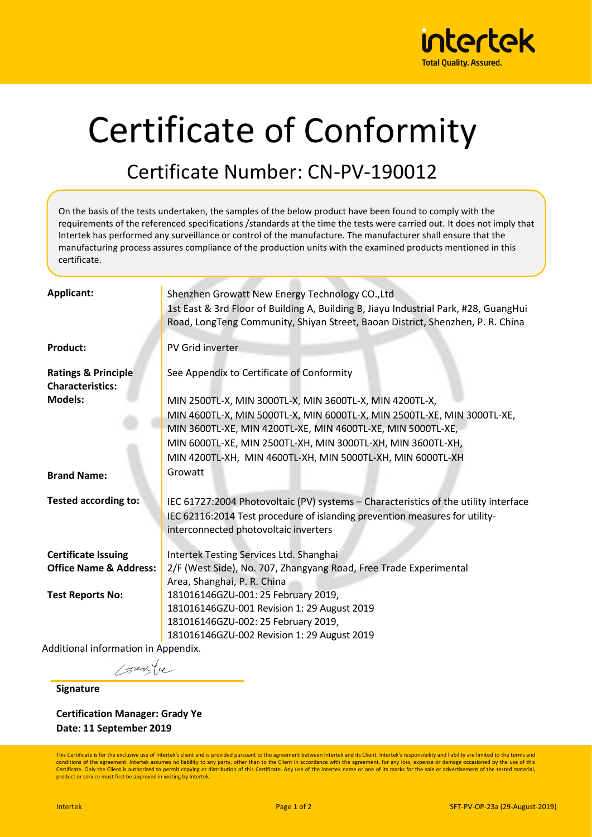

## Certificate of Conformity

## Certificate Number: CN-PV-190012

On the basis of the tests undertaken, the samples of the below product have been found to comply with the requirements of the referenced specifications /standards at the time the tests were carried out. It does not imply that Intertek has performed any surveillance or control of the manufacture. The manufacturer shall ensure that the manufacturing process assures compliance of the production units with the examined products mentioned in this certificate.

| <b>Applicant:</b>                                         | Shenzhen Growatt New Energy Technology CO., Ltd<br>1st East & 3rd Floor of Building A, Building B, Jiayu Industrial Park, #28, GuangHui<br>Road, LongTeng Community, Shiyan Street, Baoan District, Shenzhen, P. R. China |
|-----------------------------------------------------------|---------------------------------------------------------------------------------------------------------------------------------------------------------------------------------------------------------------------------|
| <b>Product:</b>                                           | PV Grid inverter                                                                                                                                                                                                          |
| <b>Ratings &amp; Principle</b><br><b>Characteristics:</b> | See Appendix to Certificate of Conformity                                                                                                                                                                                 |
| <b>Models:</b>                                            | MIN 2500TL-X, MIN 3000TL-X, MIN 3600TL-X, MIN 4200TL-X,                                                                                                                                                                   |
|                                                           | MIN 4600TL-X, MIN 5000TL-X, MIN 6000TL-X, MIN 2500TL-XE, MIN 3000TL-XE,<br>MIN 3600TL-XE, MIN 4200TL-XE, MIN 4600TL-XE, MIN 5000TL-XE,                                                                                    |
|                                                           | MIN 6000TL-XE, MIN 2500TL-XH, MIN 3000TL-XH, MIN 3600TL-XH,                                                                                                                                                               |
|                                                           | MIN 4200TL-XH, MIN 4600TL-XH, MIN 5000TL-XH, MIN 6000TL-XH                                                                                                                                                                |
| <b>Brand Name:</b>                                        | Growatt                                                                                                                                                                                                                   |
| <b>Tested according to:</b>                               | IEC 61727:2004 Photovoltaic (PV) systems - Characteristics of the utility interface<br>IEC 62116:2014 Test procedure of islanding prevention measures for utility-<br>interconnected photovoltaic inverters               |
| <b>Certificate Issuing</b>                                | Intertek Testing Services Ltd. Shanghai                                                                                                                                                                                   |
| <b>Office Name &amp; Address:</b>                         | 2/F (West Side), No. 707, Zhangyang Road, Free Trade Experimental                                                                                                                                                         |
|                                                           | Area, Shanghai, P. R. China                                                                                                                                                                                               |
| <b>Test Reports No:</b>                                   | 181016146GZU-001: 25 February 2019,                                                                                                                                                                                       |
|                                                           | 181016146GZU-001 Revision 1: 29 August 2019                                                                                                                                                                               |
|                                                           | 181016146GZU-002: 25 February 2019,                                                                                                                                                                                       |
|                                                           | 181016146GZU-002 Revision 1: 29 August 2019                                                                                                                                                                               |
| Additional information in Appendix.                       |                                                                                                                                                                                                                           |

Additional information in

purfu

**Signature**

**Certification Manager: Grady Ye Date: 11 September 2019**

This Certificate is for the exclusive use of Intertek's client and is provided pursuant to the agreement between Intertek and its Client. Intertek's responsibility and liability are limited to the terms and conditions of the agreement. Intertek assumes no liability to any party, other than to the Client in accordance with the agreement, for any loss, expense or damage occasioned by the use of this Certificate. Only the Client is authorized to permit copying or distribution of this Certificate. Any use of the Intertek name or one of its marks for the sale or advertisement of the tested material product or service must first be approved in writing by Intertek.